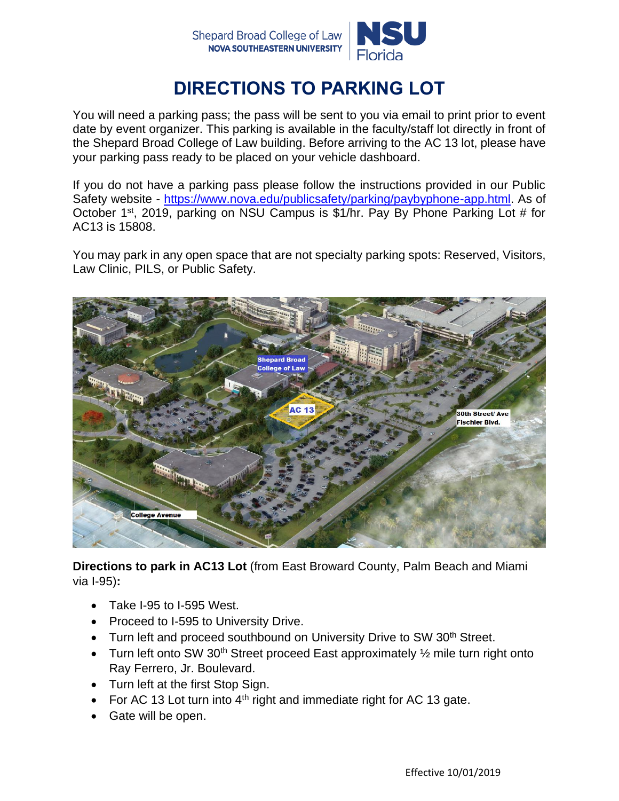

## **DIRECTIONS TO PARKING LOT**

You will need a parking pass; the pass will be sent to you via email to print prior to event date by event organizer. This parking is available in the faculty/staff lot directly in front of the Shepard Broad College of Law building. Before arriving to the AC 13 lot, please have your parking pass ready to be placed on your vehicle dashboard.

If you do not have a parking pass please follow the instructions provided in our Public Safety website - [https://www.nova.edu/publicsafety/parking/paybyphone-app.html.](https://www.nova.edu/publicsafety/parking/paybyphone-app.html) As of October 1st, 2019, parking on NSU Campus is \$1/hr. Pay By Phone Parking Lot # for AC13 is 15808.

You may park in any open space that are not specialty parking spots: Reserved, Visitors, Law Clinic, PILS, or Public Safety.



**Directions to park in AC13 Lot** (from East Broward County, Palm Beach and Miami via I-95)**:**

- Take I-95 to I-595 West.
- Proceed to I-595 to University Drive.
- Turn left and proceed southbound on University Drive to SW 30<sup>th</sup> Street.
- Turn left onto SW 30<sup>th</sup> Street proceed East approximately  $\frac{1}{2}$  mile turn right onto Ray Ferrero, Jr. Boulevard.
- Turn left at the first Stop Sign.
- For AC 13 Lot turn into  $4<sup>th</sup>$  right and immediate right for AC 13 gate.
- Gate will be open.